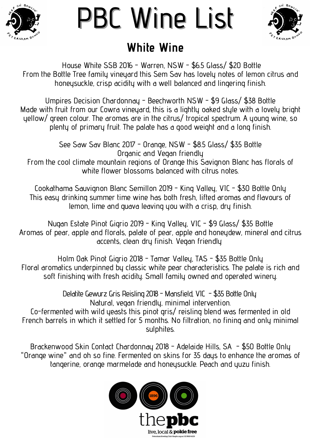### **White Wine**



# PBC Wine List



House White SSB 2016 - Warren, NSW - \$6.5 Glass/ \$20 Bottle From the Bottle Tree family vineyard this Sem Sav has lovely notes of lemon citrus and honeysuckle, crisp acidity with a well balanced and lingering finish.

Umpires Decision Chardonnay - Beechworth NSW - \$9 Glass/ \$38 Bottle Made with fruit from our Cowra vineyard, this is a lightly oaked style with a lovely bright yellow/ green colour. The aromas are in the citrus/ tropical spectrum. A young wine, so plenty of primary fruit. The palate has a good weight and a long finish.

> See Saw Sav Blanc 2017 - Orange, NSW - \$8.5 Glass/ \$35 Bottle Organic and Vegan friendly

From the cool climate mountain regions of Orange this Savignon Blanc has florals of white flower blossoms balanced with citrus notes.

> Delatite Gewurz Gris Reisling 2018 - Mansfield, VIC - \$35 Bottle Only Natural, vegan friendly, minimal intervention.

Cookathama Sauvignon Blanc Semillon 2019 - King Valley, VIC - \$30 Bottle Only This easy drinking summer time wine has both fresh, lifted aromas and flavours of lemon, lime and guava leaving you with a crisp, dry finish.

Nugan Estate Pinot Gigrio 2019 - King Valley, VIC - \$9 Glass/ \$35 Bottle Aromas of pear, apple and florals, palate of pear, apple and honeydew, mineral and citrus accents, clean dry finish. Vegan friendly

Holm Oak Pinot Gigrio 2018 - Tamar Valley, TAS - \$35 Bottle Only Floral aromatics underpinned by classic white pear characteristics. The palate is rich and soft finishing with fresh acidity. Small family owned and operated winery.

Co-fermented with wild yeasts this pinot gris/ reisling blend was fermented in old French barrels in which it settled for 5 months. No filtration, no fining and only minimal sulphites.

Brackenwood Skin Contact Chardonnay 2018 - Adelaide Hills, SA - \$50 Bottle Only "Orange wine" and oh so fine. Fermented on skins for 35 days to enhance the aromas of tangerine, orange marmelade and honeysuckle. Peach and yuzu finish.

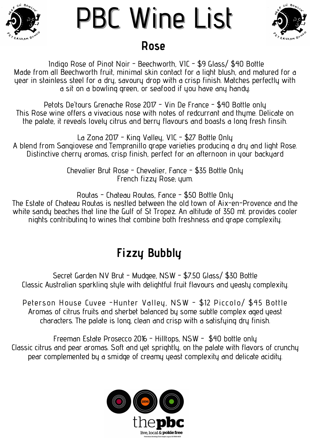Secret Garden NV Brut - Mudgee, NSW - \$7.50 Glass/ \$30 Bottle Classic Australian sparkling style with delightful fruit flavours and yeasty complexity.

Peterson House Cuvee -Hunter Valley, NSW - \$12 Piccolo/ \$45 Bottle Aromas of citrus fruits and sherbet balanced by some subtle complex aged yeast characters. The palate is long, clean and crisp with a satisfying dry finish.

Freeman Estate Prosecco 2016 - Hilltops, NSW - \$40 bottle only Classic citrus and pear aromas. Soft and yet sprightly, on the palate with flavors of crunchy pear complemented by a smidge of creamy yeast complexity and delicate acidity.



#### **Fizzy Bubbly**

Indigo Rose of Pinot Noir - Beechworth, VIC - \$9 Glass/ \$40 Bottle Made from all Beechworth fruit, minimal skin contact for a light blush, and matured for a year in stainless steel for a dry, savoury drop with a crisp finish. Matches perfectly with a sit on a bowling green, or seafood if you have any handy.



### PBC Wine List **Rose**



Petots De 'tours Grenache Rose 2017 - Vin De France - \$40 Bottle only This Rose wine offers a vivacious nose with notes of redcurrant and thyme. Delicate on the palate, it reveals lovely citrus and berry flavours and boasts a long fresh finsih.

La Zona 2017 - King Valley, VIC - \$27 Bottle Only A blend from Sangiovese and Tempranillo grape varieties producing a dry and light Rose. Distinctive cherry aromas, crisp finish, perfect for an afternoon in your backyard

> Chevalier Brut Rose - Chevalier, Fance - \$35 Bottle Only French fizzy Rose; yum.

Routas - Chateau Routas, Fance - \$50 Bottle Only The Estate of Chateau Routas is nestled between the old town of Aix-en-Provence and the white sandy beaches that line the Gulf of St Tropez. An altitude of 350 mt. provides cooler nights contributing to wines that combine both freshness and grape complexity.